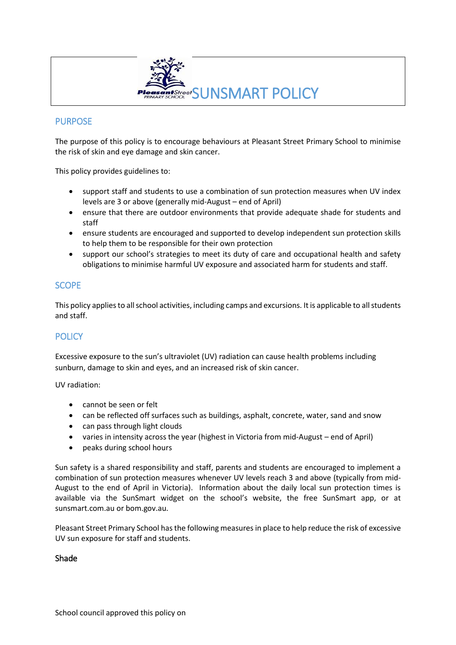

## PURPOSE

The purpose of this policy is to encourage behaviours at Pleasant Street Primary School to minimise the risk of skin and eye damage and skin cancer.

This policy provides guidelines to:

- support staff and students to use a combination of sun protection measures when UV index levels are 3 or above (generally mid-August – end of April)
- ensure that there are outdoor environments that provide adequate shade for students and staff
- ensure students are encouraged and supported to develop independent sun protection skills to help them to be responsible for their own protection
- support our school's strategies to meet its duty of care and occupational health and safety obligations to minimise harmful UV exposure and associated harm for students and staff.

### **SCOPE**

This policy applies to all school activities, including camps and excursions. It is applicable to all students and staff.

## **POLICY**

Excessive exposure to the sun's ultraviolet (UV) radiation can cause health problems including sunburn, damage to skin and eyes, and an increased risk of skin cancer.

UV radiation:

- cannot be seen or felt
- can be reflected off surfaces such as buildings, asphalt, concrete, water, sand and snow
- can pass through light clouds
- varies in intensity across the year (highest in Victoria from mid-August end of April)
- peaks during school hours

Sun safety is a shared responsibility and staff, parents and students are encouraged to implement a combination of sun protection measures whenever UV levels reach 3 and above (typically from mid-August to the end of April in Victoria). Information about the daily local sun protection times is available via the [SunSmart widget](http://www.sunsmart.com.au/uv-sun-protection/uv/uv-widget) on the school's website, the free [SunSmart app,](http://www.sunsmart.com.au/tools/interactive-tools/free-sunsmart-app) or at [sunsmart.com.au](http://www.sunsmart.com.au/) or bom.gov.au.

Pleasant Street Primary School hasthe following measures in place to help reduce the risk of excessive UV sun exposure for staff and students.

#### Shade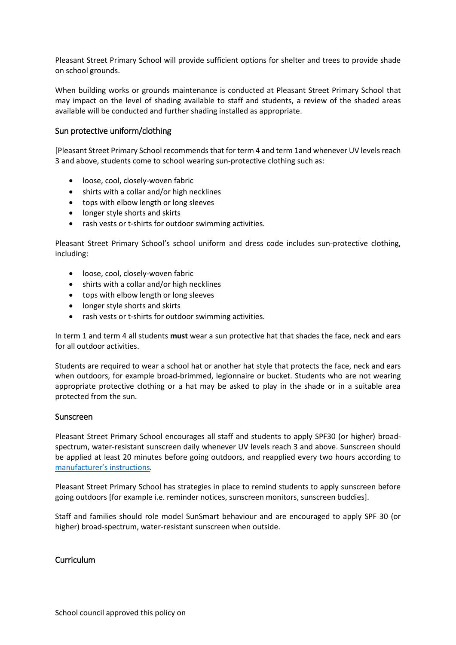Pleasant Street Primary School will provide sufficient options for shelter and trees to provide shade on school grounds.

When building works or grounds maintenance is conducted at Pleasant Street Primary School that may impact on the level of shading available to staff and students, a review of the shaded areas available will be conducted and further shading installed as appropriate.

#### Sun protective uniform/clothing

[Pleasant Street Primary School recommends that for term 4 and term 1and whenever UV levels reach 3 and above, students come to school wearing sun-protective clothing such as:

- loose, cool, closely-woven fabric
- shirts with a collar and/or high necklines
- tops with elbow length or long sleeves
- longer style shorts and skirts
- rash vests or t-shirts for outdoor swimming activities.

Pleasant Street Primary School's school uniform and dress code includes sun-protective clothing, including:

- loose, cool, closely-woven fabric
- shirts with a collar and/or high necklines
- tops with elbow length or long sleeves
- longer style shorts and skirts
- rash vests or t-shirts for outdoor swimming activities.

In term 1 and term 4 all students **must** wear a sun protective hat that shades the face, neck and ears for all outdoor activities.

Students are required to wear a school hat or another hat style that protects the face, neck and ears when outdoors, for example broad-brimmed, legionnaire or bucket. Students who are not wearing appropriate protective clothing or a hat may be asked to play in the shade or in a suitable area protected from the sun.

#### Sunscreen

Pleasant Street Primary School encourages all staff and students to apply SPF30 (or higher) broadspectrum, water-resistant sunscreen daily whenever UV levels reach 3 and above. Sunscreen should be applied at least 20 minutes before going outdoors, and reapplied every two hours according to [manufacturer's instructions](https://www.tga.gov.au/book/4-labelling-and-advertising).

Pleasant Street Primary School has strategies in place to remind students to apply sunscreen before going outdoors [for example i.e. reminder notices, sunscreen monitors, sunscreen buddies].

Staff and families should role model SunSmart behaviour and are encouraged to apply SPF 30 (or higher) broad-spectrum, water-resistant sunscreen when outside.

#### Curriculum